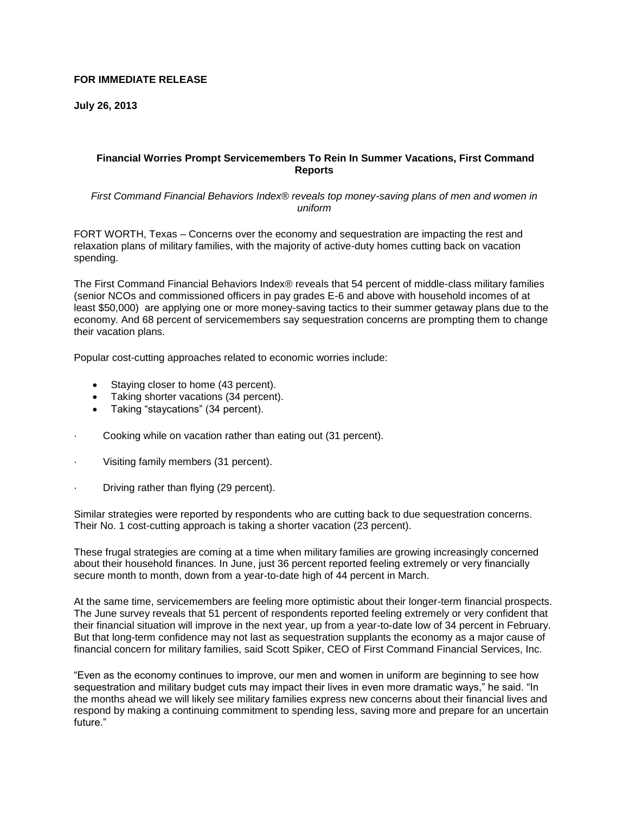# **FOR IMMEDIATE RELEASE**

**July 26, 2013**

# **Financial Worries Prompt Servicemembers To Rein In Summer Vacations, First Command Reports**

*First Command Financial Behaviors Index® reveals top money-saving plans of men and women in uniform*

FORT WORTH, Texas – Concerns over the economy and sequestration are impacting the rest and relaxation plans of military families, with the majority of active-duty homes cutting back on vacation spending.

The First Command Financial Behaviors Index® reveals that 54 percent of middle-class military families (senior NCOs and commissioned officers in pay grades E-6 and above with household incomes of at least \$50,000) are applying one or more money-saving tactics to their summer getaway plans due to the economy. And 68 percent of servicemembers say sequestration concerns are prompting them to change their vacation plans.

Popular cost-cutting approaches related to economic worries include:

- Staying closer to home (43 percent).
- Taking shorter vacations (34 percent).
- Taking "staycations" (34 percent).
- Cooking while on vacation rather than eating out (31 percent).
- Visiting family members (31 percent).
- Driving rather than flying (29 percent).

Similar strategies were reported by respondents who are cutting back to due sequestration concerns. Their No. 1 cost-cutting approach is taking a shorter vacation (23 percent).

These frugal strategies are coming at a time when military families are growing increasingly concerned about their household finances. In June, just 36 percent reported feeling extremely or very financially secure month to month, down from a year-to-date high of 44 percent in March.

At the same time, servicemembers are feeling more optimistic about their longer-term financial prospects. The June survey reveals that 51 percent of respondents reported feeling extremely or very confident that their financial situation will improve in the next year, up from a year-to-date low of 34 percent in February. But that long-term confidence may not last as sequestration supplants the economy as a major cause of financial concern for military families, said Scott Spiker, CEO of First Command Financial Services, Inc.

"Even as the economy continues to improve, our men and women in uniform are beginning to see how sequestration and military budget cuts may impact their lives in even more dramatic ways," he said. "In the months ahead we will likely see military families express new concerns about their financial lives and respond by making a continuing commitment to spending less, saving more and prepare for an uncertain future."